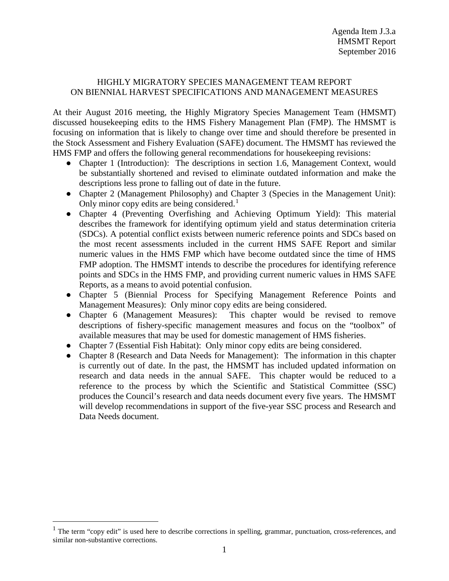## HIGHLY MIGRATORY SPECIES MANAGEMENT TEAM REPORT ON BIENNIAL HARVEST SPECIFICATIONS AND MANAGEMENT MEASURES

At their August 2016 meeting, the Highly Migratory Species Management Team (HMSMT) discussed housekeeping edits to the HMS Fishery Management Plan (FMP). The HMSMT is focusing on information that is likely to change over time and should therefore be presented in the Stock Assessment and Fishery Evaluation (SAFE) document. The HMSMT has reviewed the HMS FMP and offers the following general recommendations for housekeeping revisions:

- Chapter 1 (Introduction): The descriptions in section 1.6, Management Context, would be substantially shortened and revised to eliminate outdated information and make the descriptions less prone to falling out of date in the future.
- Chapter 2 (Management Philosophy) and Chapter 3 (Species in the Management Unit): Only minor copy edits are being considered.<sup>[1](#page-0-0)</sup>
- Chapter 4 (Preventing Overfishing and Achieving Optimum Yield): This material describes the framework for identifying optimum yield and status determination criteria (SDCs). A potential conflict exists between numeric reference points and SDCs based on the most recent assessments included in the current HMS SAFE Report and similar numeric values in the HMS FMP which have become outdated since the time of HMS FMP adoption. The HMSMT intends to describe the procedures for identifying reference points and SDCs in the HMS FMP, and providing current numeric values in HMS SAFE Reports, as a means to avoid potential confusion.
- Chapter 5 (Biennial Process for Specifying Management Reference Points and Management Measures): Only minor copy edits are being considered.
- Chapter 6 (Management Measures): This chapter would be revised to remove descriptions of fishery-specific management measures and focus on the "toolbox" of available measures that may be used for domestic management of HMS fisheries.
- Chapter 7 (Essential Fish Habitat): Only minor copy edits are being considered.
- Chapter 8 (Research and Data Needs for Management): The information in this chapter is currently out of date. In the past, the HMSMT has included updated information on research and data needs in the annual SAFE. This chapter would be reduced to a reference to the process by which the Scientific and Statistical Committee (SSC) produces the Council's research and data needs document every five years. The HMSMT will develop recommendations in support of the five-year SSC process and Research and Data Needs document.

<span id="page-0-0"></span><sup>&</sup>lt;sup>1</sup> The term "copy edit" is used here to describe corrections in spelling, grammar, punctuation, cross-references, and similar non-substantive corrections.